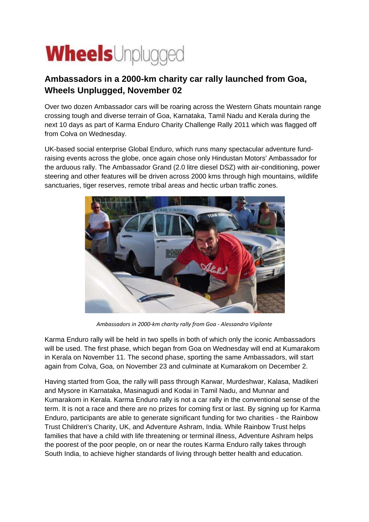## **Wheels**Unplugged

## **Ambassadors in a 2000-km charity car rally launched from Goa, Wheels Unplugged, November 02**

Over two dozen Ambassador cars will be roaring across the Western Ghats mountain range crossing tough and diverse terrain of Goa, Karnataka, Tamil Nadu and Kerala during the next 10 days as part of Karma Enduro Charity Challenge Rally 2011 which was flagged off from Colva on Wednesday.

UK-based social enterprise Global Enduro, which runs many spectacular adventure fundraising events across the globe, once again chose only Hindustan Motors' Ambassador for the arduous rally. The Ambassador Grand (2.0 litre diesel DSZ) with air-conditioning, power steering and other features will be driven across 2000 kms through high mountains, wildlife sanctuaries, tiger reserves, remote tribal areas and hectic urban traffic zones.



*Ambassadors in 2000-km charity rally from Goa - Alessandro Vigilante*

Karma Enduro rally will be held in two spells in both of which only the iconic Ambassadors will be used. The first phase, which began from Goa on Wednesday will end at Kumarakom in Kerala on November 11. The second phase, sporting the same Ambassadors, will start again from Colva, Goa, on November 23 and culminate at Kumarakom on December 2.

Having started from Goa, the rally will pass through Karwar, Murdeshwar, Kalasa, Madikeri and Mysore in Karnataka, Masinagudi and Kodai in Tamil Nadu, and Munnar and Kumarakom in Kerala. Karma Enduro rally is not a car rally in the conventional sense of the term. It is not a race and there are no prizes for coming first or last. By signing up for Karma Enduro, participants are able to generate significant funding for two charities - the Rainbow Trust Children's Charity, UK, and Adventure Ashram, India. While Rainbow Trust helps families that have a child with life threatening or terminal illness, Adventure Ashram helps the poorest of the poor people, on or near the routes Karma Enduro rally takes through South India, to achieve higher standards of living through better health and education.